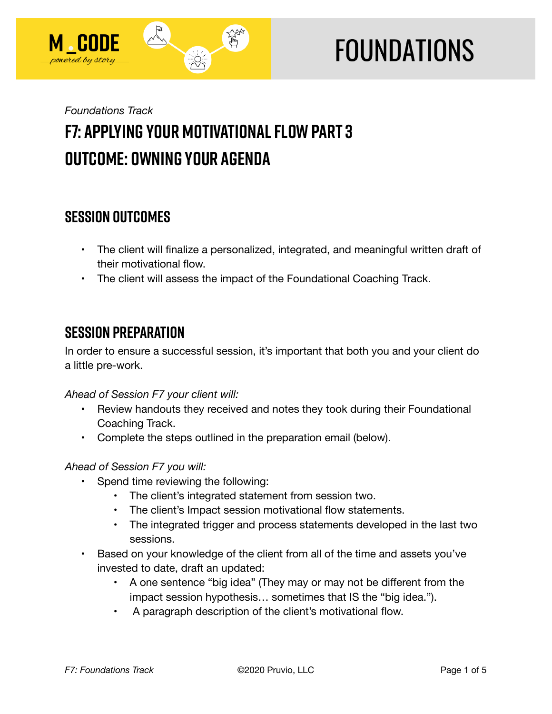

# **FOUNDATIONS**

## *Foundations Track*  **F7: Applying Your Motivational Flow Part 3 Outcome: Owning Your Agenda**

## **SESSION OUTCOMES**

- The client will finalize a personalized, integrated, and meaningful written draft of their motivational flow.
- The client will assess the impact of the Foundational Coaching Track.

## **SESSION PREPARATION**

In order to ensure a successful session, it's important that both you and your client do a little pre-work.

#### *Ahead of Session F7 your client will:*

- Review handouts they received and notes they took during their Foundational Coaching Track.
- Complete the steps outlined in the preparation email (below).

#### *Ahead of Session F7 you will:*

- Spend time reviewing the following:
	- The client's integrated statement from session two.
	- The client's Impact session motivational flow statements.
	- The integrated trigger and process statements developed in the last two sessions.
- Based on your knowledge of the client from all of the time and assets you've invested to date, draft an updated:
	- A one sentence "big idea" (They may or may not be different from the impact session hypothesis… sometimes that IS the "big idea.").
	- A paragraph description of the client's motivational flow.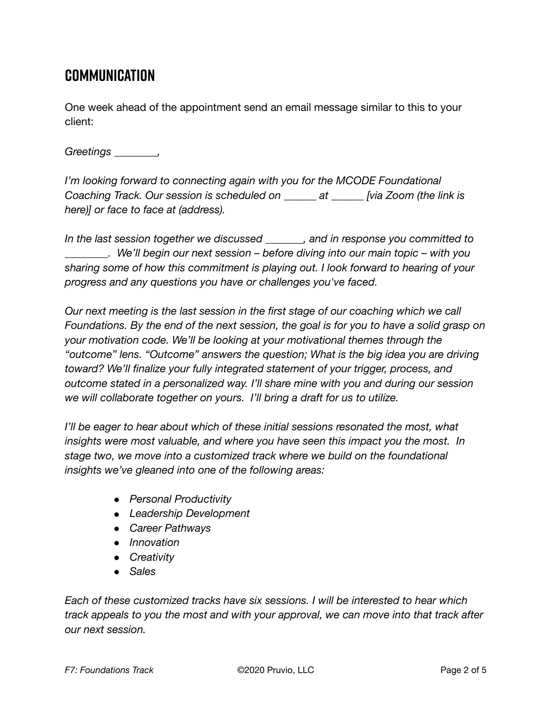## **Communication**

One week ahead of the appointment send an email message similar to this to your client:

#### *Greetings \_\_\_\_\_\_\_\_,*

*I'm looking forward to connecting again with you for the MCODE Foundational Coaching Track. Our session is scheduled on \_\_\_\_\_\_ at \_\_\_\_\_\_ [via Zoom (the link is here)] or face to face at (address).* 

*In the last session together we discussed \_\_\_\_\_\_\_, and in response you committed to \_\_\_\_\_\_\_\_. We'll begin our next session – before diving into our main topic – with you sharing some of how this commitment is playing out. I look forward to hearing of your progress and any questions you have or challenges you've faced.* 

*Our next meeting is the last session in the first stage of our coaching which we call Foundations. By the end of the next session, the goal is for you to have a solid grasp on your motivation code. We'll be looking at your motivational themes through the "outcome" lens. "Outcome" answers the question; What is the big idea you are driving toward? We'll finalize your fully integrated statement of your trigger, process, and outcome stated in a personalized way. I'll share mine with you and during our session we will collaborate together on yours. I'll bring a draft for us to utilize.* 

*I'll be eager to hear about which of these initial sessions resonated the most, what insights were most valuable, and where you have seen this impact you the most. In stage two, we move into a customized track where we build on the foundational insights we've gleaned into one of the following areas:* 

- *Personal Productivity*
- *Leadership Development*
- *Career Pathways*
- *Innovation*
- *Creativity*
- *Sales*

*Each of these customized tracks have six sessions. I will be interested to hear which track appeals to you the most and with your approval, we can move into that track after our next session.*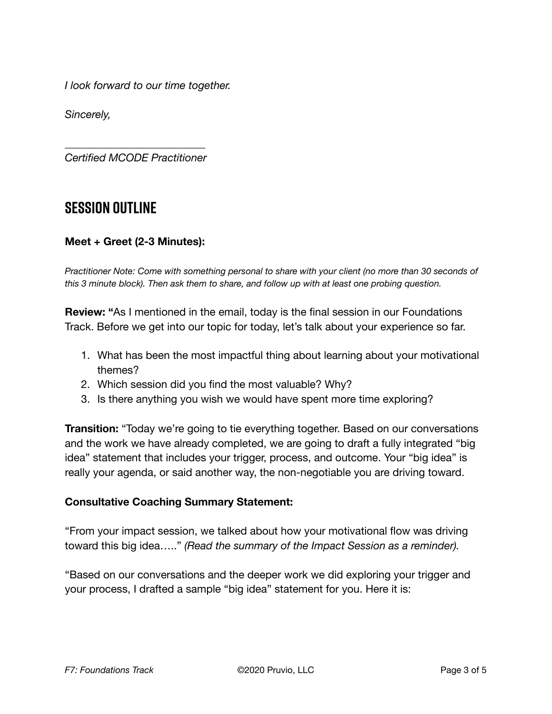*I look forward to our time together.* 

*Sincerely,* 

*\_\_\_\_\_\_\_\_\_\_\_\_\_\_\_\_\_\_\_\_\_\_\_\_\_\_ Certified MCODE Practitioner* 

### **SESSION OUTLINE**

#### **Meet + Greet (2-3 Minutes):**

*Practitioner Note: Come with something personal to share with your client (no more than 30 seconds of this 3 minute block). Then ask them to share, and follow up with at least one probing question.* 

**Review: "**As I mentioned in the email, today is the final session in our Foundations Track. Before we get into our topic for today, let's talk about your experience so far.

- 1. What has been the most impactful thing about learning about your motivational themes?
- 2. Which session did you find the most valuable? Why?
- 3. Is there anything you wish we would have spent more time exploring?

**Transition:** "Today we're going to tie everything together. Based on our conversations and the work we have already completed, we are going to draft a fully integrated "big idea" statement that includes your trigger, process, and outcome. Your "big idea" is really your agenda, or said another way, the non-negotiable you are driving toward.

#### **Consultative Coaching Summary Statement:**

"From your impact session, we talked about how your motivational flow was driving toward this big idea….." *(Read the summary of the Impact Session as a reminder).* 

"Based on our conversations and the deeper work we did exploring your trigger and your process, I drafted a sample "big idea" statement for you. Here it is: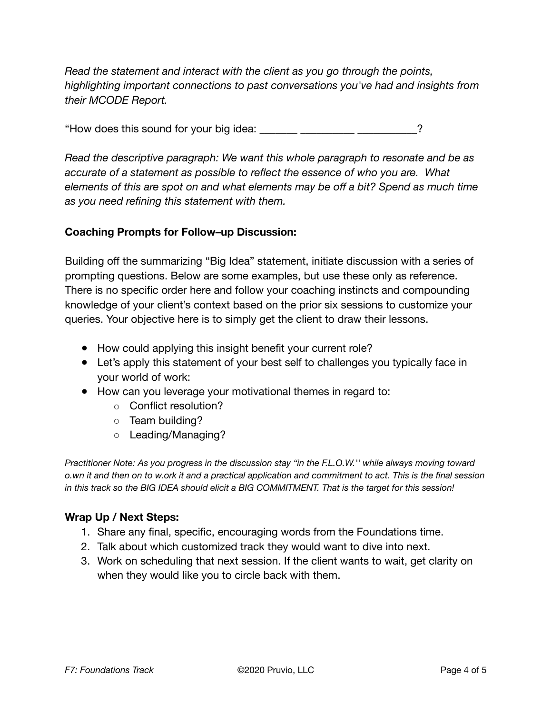*Read the statement and interact with the client as you go through the points, highlighting important connections to past conversations you've had and insights from their MCODE Report.* 

"How does this sound for your big idea: \_\_\_\_\_\_\_\_\_\_\_\_\_\_\_\_\_\_\_\_\_\_\_\_\_\_\_\_\_?

*Read the descriptive paragraph: We want this whole paragraph to resonate and be as accurate of a statement as possible to reflect the essence of who you are. What elements of this are spot on and what elements may be off a bit? Spend as much time as you need refining this statement with them.* 

#### **Coaching Prompts for Follow–up Discussion:**

Building off the summarizing "Big Idea" statement, initiate discussion with a series of prompting questions. Below are some examples, but use these only as reference. There is no specific order here and follow your coaching instincts and compounding knowledge of your client's context based on the prior six sessions to customize your queries. Your objective here is to simply get the client to draw their lessons.

- How could applying this insight benefit your current role?
- Let's apply this statement of your best self to challenges you typically face in your world of work:
- How can you leverage your motivational themes in regard to:
	- Conflict resolution?
	- Team building?
	- Leading/Managing?

*Practitioner Note: As you progress in the discussion stay "in the F.L.O.W.'' while always moving toward o.wn it and then on to w.ork it and a practical application and commitment to act. This is the final session in this track so the BIG IDEA should elicit a BIG COMMITMENT. That is the target for this session!* 

#### **Wrap Up / Next Steps:**

- 1. Share any final, specific, encouraging words from the Foundations time.
- 2. Talk about which customized track they would want to dive into next.
- 3. Work on scheduling that next session. If the client wants to wait, get clarity on when they would like you to circle back with them.